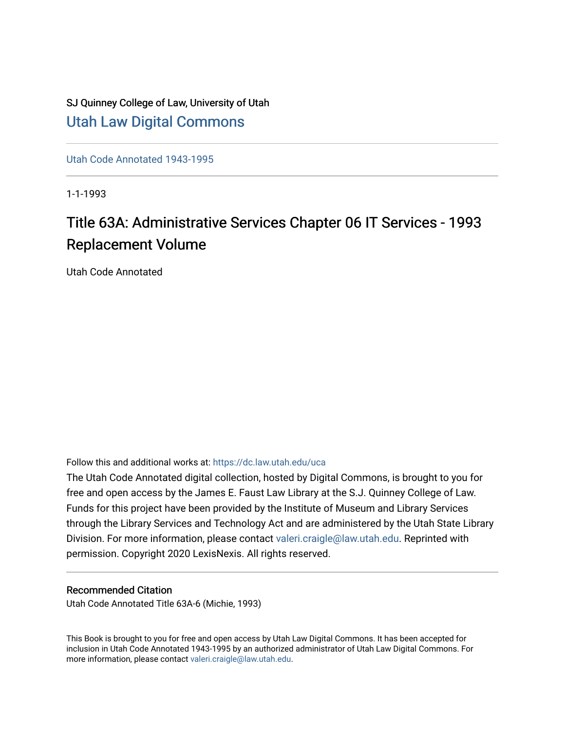## SJ Quinney College of Law, University of Utah [Utah Law Digital Commons](https://dc.law.utah.edu/)

[Utah Code Annotated 1943-1995](https://dc.law.utah.edu/uca) 

1-1-1993

# Title 63A: Administrative Services Chapter 06 IT Services - 1993 Replacement Volume

Utah Code Annotated

Follow this and additional works at: [https://dc.law.utah.edu/uca](https://dc.law.utah.edu/uca?utm_source=dc.law.utah.edu%2Fuca%2F421&utm_medium=PDF&utm_campaign=PDFCoverPages)

The Utah Code Annotated digital collection, hosted by Digital Commons, is brought to you for free and open access by the James E. Faust Law Library at the S.J. Quinney College of Law. Funds for this project have been provided by the Institute of Museum and Library Services through the Library Services and Technology Act and are administered by the Utah State Library Division. For more information, please contact [valeri.craigle@law.utah.edu.](mailto:valeri.craigle@law.utah.edu) Reprinted with permission. Copyright 2020 LexisNexis. All rights reserved.

#### Recommended Citation

Utah Code Annotated Title 63A-6 (Michie, 1993)

This Book is brought to you for free and open access by Utah Law Digital Commons. It has been accepted for inclusion in Utah Code Annotated 1943-1995 by an authorized administrator of Utah Law Digital Commons. For more information, please contact [valeri.craigle@law.utah.edu.](mailto:valeri.craigle@law.utah.edu)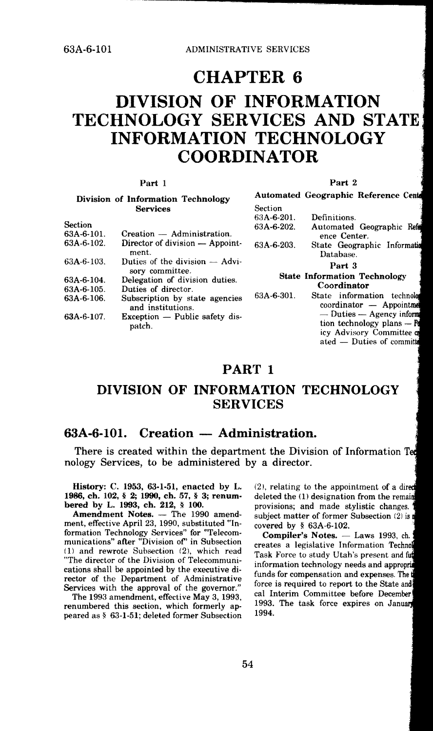CHAPTER 6

## DIVISION OF INFORMATION TECHNOLOGY SERVICES AND STATE: INFORMATION TECHNOLOGY COORDINATOR

Section  $63A$ -6-201.

#### Part 1

#### Division of Information Technology Services

#### **Part** 2

ated - Duties of committe

**Automated Geographic Reference** C

Definitions.

|                |                                                     | --------------                                                                                   |
|----------------|-----------------------------------------------------|--------------------------------------------------------------------------------------------------|
| <b>Section</b> |                                                     | 63A-6-202.<br>Automated Geographic Refe                                                          |
| 63A-6-101.     | Creation — Administration.                          | ence Center.                                                                                     |
| 63A-6-102.     | Director of division — Appoint-<br>ment.            | 63A-6-203.<br>State Geographic Information<br>Database.                                          |
| 63A-6-103.     | Duties of the division — Advi-<br>sory committee.   | Part 3                                                                                           |
| 63A-6-104.     | Delegation of division duties.                      | <b>State Information Technology</b>                                                              |
| 63A-6-105.     | Duties of director.                                 | Coordinator                                                                                      |
| 63A-6-106.     | Subscription by state agencies<br>and institutions. | 63A-6-301.<br>State information technolor<br>coordinator - Appointment                           |
| 63A-6-107.     | $Exception$ - Public safety dis-<br>patch.          | $-$ Duties $-$ Agency inform<br>tion technology plans $ \mathbb{F}$<br>icy Advisory Committee co |

#### **PART** I

## **DIVISION OF INFORMATION TECHNOLOGY SERVICES**

#### **63A-6-101.** Creation — Administration.

There is created within the department the Division of Information Ted nology Services, to be administered by a director.

**History:** C. **1953, 63-1-51, enacted** by L. **1986, ch.** 102, § **2; 1990, ch.** 57, § 3; **renum**bered by **L. 1993,** ch. **212,** § **100.** 

Amendment Notes. - The 1990 amendment, effective April 23, 1990, substituted "In· formation Technology Services" for "Telecommunications" after "Division of" in Subsection 11) and rewrote Subsection C2}, which read "The director of the Division of Telecommunications shall be appointed by the executive director of the Department of Administrative Services with the approval of the governor."

The 1993 amendment, effective May 3, 1993, renumbered this section, which formerly **ap**peared as§ 63-1-51; deleted former Subsection (2), relating to the appointment of a deleted the (1) designation from the remain provisions; and made stylistic changes. subject matter of former Subsection  $(2)$  is  $\mathbf i$ covered by § 63A-6-102.

Compiler's Notes. - Laws 1993, ch. creates a legislative Information Technol Task Force to study Utah's present and fut information technology needs and ap funds for compensation and expenses. The force is required to report to the State and cal Interim Committee before December 1993. The task force expires on January 1994.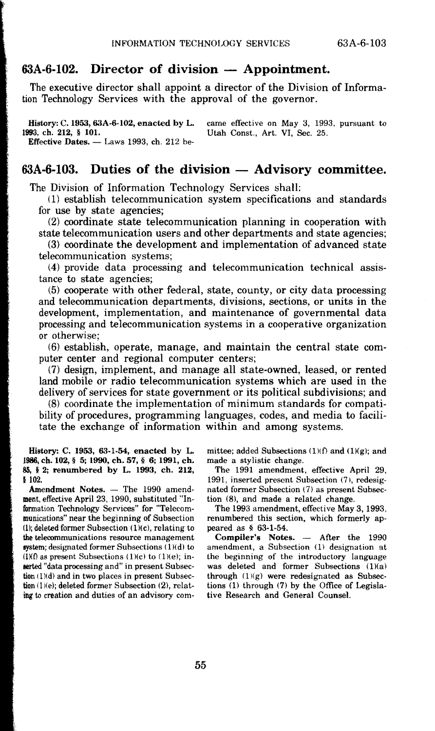#### $63A-6-102$ . Director of division  $-$  Appointment.

The executive director shall appoint a director of the Division of Information Technology Services with the approval of the governor.

**History: C. 1953, 63A-6-102, enacted by L.** came effective on May 3, 1993, pursuant to 1993, ch. 212, § 101. Utah Const., Art. VI, Sec. 25. Utah Const., Art. VI, Sec. 25. Effective Dates.  $-$  Laws 1993, ch. 212 be-

#### $63A-6-103.$  Duties of the division  $-$  Advisory committee.

The Division of Information Technology Services shall:

(1) establish telecommunication system specifications and standards for use by state agencies;

(2) coordinate state telecommunication planning in cooperation with state telecommunication users and other departments and state agencies;

(3) coordinate the development and implementation of advanced state telecommunication systems;

(4) provide data processing and telecommunication technical assistance to state agencies;

(5) cooperate with other federal, state, county, or city data processing and telecommunication departments, divisions, sections, or units in the development, implementation, and maintenance of governmental data processing and telecommunication systems in a cooperative organization or otherwise;

(6) establish, operate, manage, and maintain the central state computer center and regional computer centers;

(7) design, implement, and manage all state-owned, leased, or rented land mobile or radio telecommunication systems which are used in the delivery of services for state government or its political subdivisions; and

(8) coordinate the implementation of minimum standards for compatibility of procedures, programming languages, codes, and media to facilitate the exchange of information within and among systems.

**History:** C. **1953, 63-1-54, enacted by L. 1188,** ch. 102, § 5; 1990, ch. 57, § *6;* 1991, ch. **85,** I **2; renumbered by** L. 1993, **ch. 212, k** 102.

Amendment Notes. - The 1990 amendment, effective April 23, 1990, substituted "Information Technology Services" for "Telecommunications" near the beginning of Subsection (1); deleted former Subsection  $(1)(c)$ , relating to **the telecommunications resource management system; designated former Subsections (1)(d) to**  $(l)$ as present Subsections  $(l)(c)$  to  $(l)(e)$ ; inaerted "data processing and" in present Subsec• tion (1)(d) and in two places in present Subsection (l)(e); deleted former Subsection (2), relating to creation and duties of an advisory committee; added Subsections  $(1)(f)$  and  $(1)(g)$ ; and made a stylistic change.

The 1991 amendment, effective April 29, 1991, inserted present Subsection (7), redesignated former Subsection (7) as present Subsection (8), and made a related change.

The 1993 amendment, effective May 3, 1993, renumbered this section, which formerly appeared as § 63-1-54.

Compiler's Notes. - After the 1990 amendment, a Subsection (1) designation at the beginning of the introductory language was deleted and former Subsections (1)(a) through  $(1)(g)$  were redesignated as Subsections  $(1)$  through  $(7)$  by the Office of Legislative Research and General Counsel.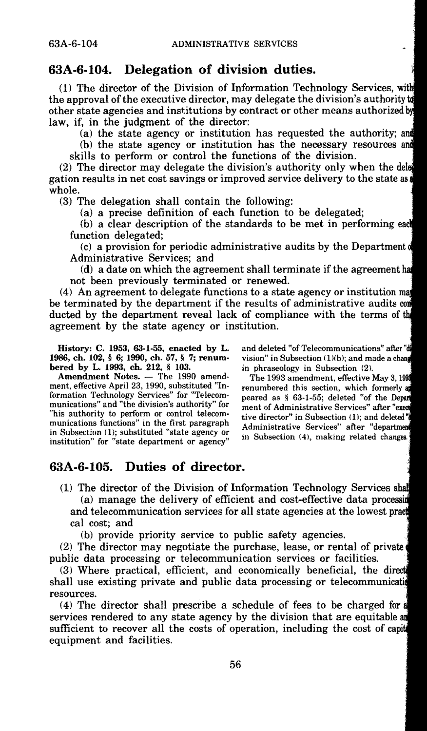#### **63A-6-104. Delegation of division duties.**

(1) The director of the Division of Information Technology Services, wit the approval of the executive director, may delegate the division's authority other state agencies and institutions by contract or other means authorized b law, if, in the judgment of the director:

(a) the state agency or institution has requested the authority; a

(b) the state agency or institution has the necessary resources an

skills to perform or control the functions of the division.

(2) The director may delegate the division's authority only when the del gation results in net cost savings or improved service delivery to the state as whole.

(3) The delegation shall contain the following:

(a) a precise definition of each function to be delegated;

(b) a clear description of the standards to be met in performing ea function delegated;

(c) a provision for periodic administrative audits by the Department Administrative Services; and

(d) a date on which the agreement shall terminate if the agreement has not been previously terminated or renewed.

(4) An agreement to delegate functions to a state agency or institution ma be terminated by the department if the results of administrative audits co ducted by the department reveal lack of compliance with the terms of the agreement by the state agency or institution.

**History: C. 1953, 63-1-55, enacted by L. 1986, ch. 102,** § **6; 1990, ch. 57,** § **7; renum• bered by L. 1993, ch. 212,** § 103.

**Amendment Notes.** - The 1990 amendment, effective April 23, 1990, substituted "Information Technology Services" for "Telecommunications" and "the division's authority" for "his authority to perform or control telecommunications functions" in the first paragraph in Subsection (l); substituted "state agency or institution" for "state department or agency"

and deleted "of Telecommunications" after "di vision" in Subsection  $(1)(b)$ ; and made a chang in phraseology in Subsection (2).

The 1993 amendment, effective May 3, 1 renumbered this section, which formerly peared as § 63-1-55; deleted "of the Depart ment of Administrative Services" after "ex tive director" in Subsection (1); and deleted<sup>\*</sup> Administrative Services" after "departm in Subsection (4), making related changes.

#### **63A-6-105. Duties of director.**

(1) The director of the Division of Information Technology Services s (a) manage the delivery of efficient and cost-effective data processin and telecommunication services for all state agencies at the lowest pra cal cost; and

(b) provide priority service to public safety agencies.

(2) The director may negotiate the purchase, lease, or rental of private public data processing or telecommunication services or facilities.

(3) Where practical, efficient, and economically beneficial, the dir shall use existing private and public data processing or telecommunication resources.

(4) The director shall prescribe a schedule of fees to be charged for services rendered to any state agency by the division that are equitable an sufficient to recover all the costs of operation, including the cost of capit equipment and facilities.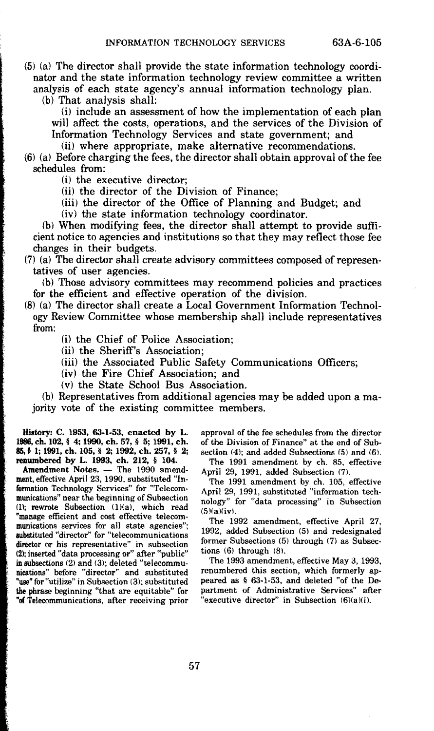(5) (a) The director shall provide the state information technology coordinator and the state information technology review committee a written analysis of each state agency's annual information technology plan.

(b) That analysis shall:

(i) include an assessment of how the implementation of each plan will affect the costs, operations, and the services of the Division of Information Technology Services and state government; and

(ii) where appropriate, make alternative recommendations.

(6) (a) Before charging the fees, the director shall obtain approval of the fee schedules from:

(i) the executive director;

(ii) the director of the Division of Finance;

(iii) the director of the Office of Planning and Budget; and

(iv) the state information technology coordinator.

(b) When modifying fees, the director shall attempt to provide sufficient notice to agencies and institutions so that they may reflect those fee changes in their budgets.

(7) (a) The director shall create advisory committees composed of representatives of user agencies.

(b) Those advisory committees may recommend policies and practices for the efficient and effective operation of the division.

(8) (a) The director shall create a Local Government Information Technology Review Committee whose membership shall include representatives from:

(i) the Chief of Police Association;

(ii) the Sheriff's Association;

(iii) the Associated Public Safety Communications Officers;

(iv) the Fire Chief Association; and

( v) the State School Bus Association.

(b) Representatives from additional agencies may be added upon a majority vote of the existing committee members.

**Hutory: C. 1953, 63-1-53, enacted by L. 1988, ch. 102,** § **4; 1990, ch. 57,** § **5; 1991, ch. 85,** § **l; 1991, ch. 105,** § **2; 1992, ch. 257,** § **2; renumbered** by L. 1993, ch. 212, § 104.

Amendment Notes. - The 1990 amendment, effective April 23, 1990, substituted "Information Technology Services" for "Telecommunications" near the beginning of Subsection (1); rewrote Subsection (1)(a), which read "manage efficient and cost effective telecommunications services for all state agencies"; aubstituted "director'' for "telecommunications director or his representative" in subsection (2); inserted "data processing or" after "public" in subsections  $(2)$  and  $(3)$ ; deleted "telecommunications" before "director" and substituted "use" for "utilize" in Subsection (3); substituted **the** phrase beginning "that are equitable" for **"of** Telecommunications, after receiving prior

approval of the fee schedules from the director of the Division of Finance" at the end of Subsection  $(4)$ ; and added Subsections  $(5)$  and  $(6)$ .

The 1991 amendment by ch. 85, effective April 29, 1991, added Subsection (7).

The 1991 amendment by ch. 105, effective April 29, 1991, substituted "information technology" for "data processing" in Subsection  $(5)(a)(iv)$ .

The 1992 amendment, effective April 27, 1992, added Subsection (5) and redesignated former Subsections (5) through (7) as Subsections (6) through (8).

The 1993 amendment, effective May 3, 1993, renumbered this section, which formerly appeared as § 63·1-53, and deleted "of the Department of Administrative Services" after "executive director'' in Subsection (6)(a)(i).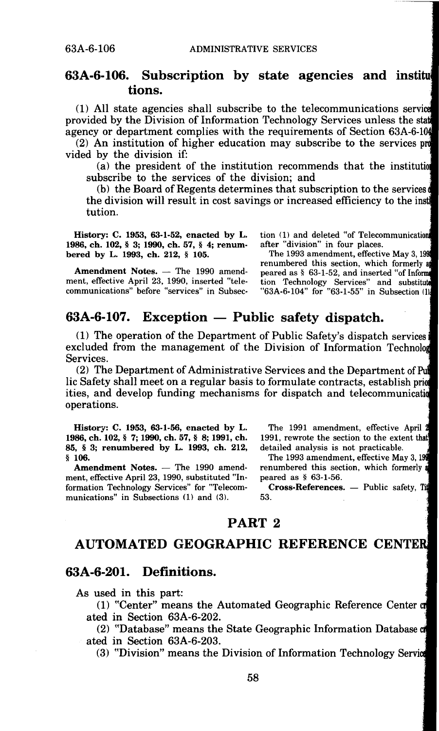#### **63A-6-106. Subscription by state agencies and institudent SA-6-106. tions.**

(1) All state agencies shall subscribe to the telecommunications servi provided by the Division of Information Technology Services unless the sta agency or department complies with the requirements of Section 63A-6-1

(2) An institution of higher education may subscribe to the services p vided by the division if:

(a) the president of the institution recommends that the institutio subscribe to the services of the division; and

(b) the Board of Regents determines that subscription to the services the division will result in cost savings or increased efficiency to the inst tution.

**History: C. 1953, 63-1-52, enacted by L. 1986, ch. 102,** § **3; 1990, ch. 57,** § **4; renumbered by L. 1993, ch. 212,** § **105.** 

Amendment Notes. - The 1990 amendment, effective April 23, 1990, inserted "telecommunications" before "services" in Subsection (1) and deleted "of Telecommunication after "division" in four places.

The 1993 amendment, effective May 3, 19 renumbered this section, which formerly a peared as § 63-1-52, and inserted "of Infor tion Technology Services" and substitute<br>"63A-6-104" for "63-1-55" in Subsection (1)

#### **63A-6-107.** Exception — Public safety dispatch.

(1) The operation of the Department of Public Safety's dispatch services excluded from the management of the Division of Information Technolo Services.

(2) The Department of Administrative Services and the Department of Pu lic Safety shall meet on a regular basis to formulate contracts, establish prior ities, and develop funding mechanisms for dispatch and telecommunicati operations.

**History: C. 1953, 63-1-56, enacted by L. 1986,ch. 102,§ 7; 1990,ch.57,§ 8; 1991,ch. 85,** § **3; renumbered by L. 1993, ch. 212,**  § **106.** 

Amendment Notes. - The 1990 amendment, effective April 23, 1990, substituted "Information Technology Services" for "Telecommunications" in Subsections (1) and (3).

The 1991 amendment, effective April 1991, rewrote the section to the extent that detailed analysis is not practicable.

The 1993 amendment, effective May 3, 1 renumbered this section, which formerly peared as § 63-1-56.

**Cross-References.** - Public safety, Tip 53.

#### **PART 2**

### **AUTOMATED GEOGRAPHIC REFERENCE CENTER**

#### **63A-6-201. Definitions.**

As used in this part:

(1) "Center" means the Automated Geographic Reference Center ated in Section 63A-6-202.

(2) "Database" means the State Geographic Information Database ated in Section 63A-6-203.

(3) "Division" means the Division of Information Technology Servi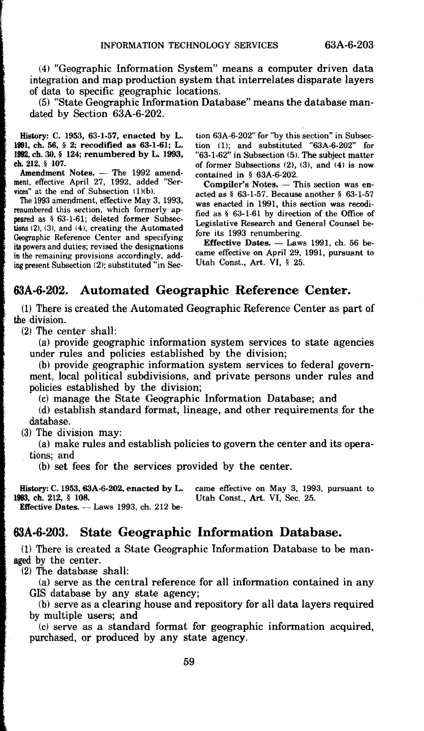(4) "Geographic Information System" means a computer driven data integration and map production system that interrelates disparate layers of data to specific geographic locations.

(5) "State Geographic Information Database" means the database mandated by Section 63A-6-202.

History: C. 1953, 63-1-57, enacted by L. 1991, ch. 56, § 2; recodified as 63-1-61; L. 11192, ch. 30, § 124; renumbered by L. 1993, ch. 212, § 107.

for the control of the control of the control of the control of the control of the control of the control of the control of the control of the control of the control of the control of the control of the control of the cont

**Amendment Notes.** — The 1992 amendment, effective April 27, 1992, added "Services" at the end of Subsection  $(1)(b)$ .

The 1993 amendment, effective May 3, 1993, renumbered this section, which formerly ap**peared** *as* § 63-1-61; deleted former Subsections (2), (3), and **(4),** creating the Automated Geographic Reference Center and specifying **its powers** and duties; revised the designations in the remaining provisions accordingly, adding present Subsection (2); substituted "in Section 63A-6-202" for "by this section" in Subsection  $(1)$ ; and substituted "63A-6-202" for "63-1-62" in Subsection (5). The subject matter of former Subsections  $(2)$ ,  $(3)$ , and  $(4)$  is now contained in § 63A-6-202.

Compiler's Notes. - This section was enacted as§ 63-1-57. Because another§ 63-1-57 was enacted in 1991, this section was recodified as § 63-1-61 by direction of the Office of Legislative Research and General Counsel before its 1993 renumbering.

Effective Dates.  $-$  Laws 1991, ch. 56 became effective on April 29, 1991, pursuant to Utah Const., Art. VI, § 25.

#### **63A-6-202. Automated Geographic Reference Center.**

(1) There is created the Automated Geographic Reference Center as part of the division.

(2) The center shall:

(a) provide geographic information system services to state agencies under rules and policies established by the division;

(b) provide geographic information system services to federal government, local political subdivisions, and private persons under rules and policies established by the division;

(e) manage the State Geographic Information Database; and

(d) establish standard format, lineage, and other requirements for the database.

(3) The division may:

(a) make rules and establish policies to govern the center and its operations; and

(b) set fees for the services provided by the center.

History: C. 1953, 63A-6-202, enacted by L. came effective on May 3, 1993, pursuant to 1993, ch. 212, § 108. Utah Const. Art. VI. Sec. 25. **1993. ch. 212,** § **108.** Utah Const., **Art. VI,** Sec. 25. **Effective Dates.** - Laws 1993, ch. 212 **be-**

#### **63A-6-203. State Geographic Information Database.**

(1) There is created a State Geographic Information Database to be man**aged** by the center.

(2) The database shall:

(a) serve as the central reference for all information contained in any GIS database by any state agency;

(b) serve as a clearing house and repository for all data layers required by multiple users; and

(c) serve as a standard format for geographic information acquired, purchased, or produced by any state agency.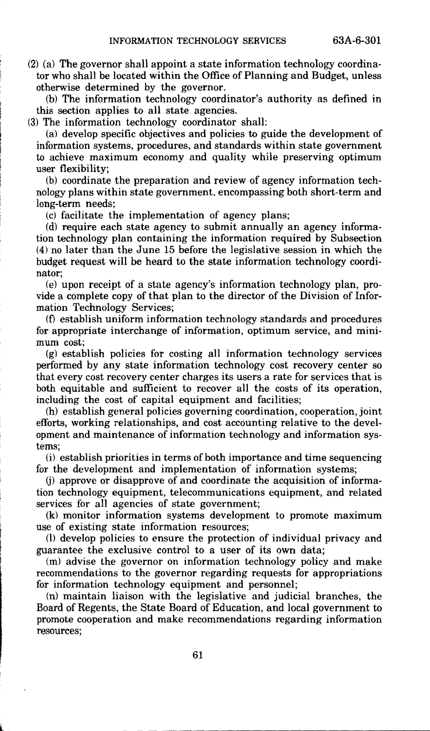(2) (a) The governor shall appoint a state information technology coordinator who shall be located within the Office of Planning and Budget, unless otherwise determined by the governor.

(b) The information technology coordinator's authority as defined in this section applies to all state agencies.

(3) The information technology coordinator shall:

(a) develop specific objectives and policies to guide the development of information systems, procedures, and standards within state government to achieve maximum economy and quality while preserving optimum user flexibility;

(b) coordinate the preparation and review of agency information technology plans within state government, encompassing both short-term and long-term needs;

(c) facilitate the implementation of agency plans;

(d) require each state agency to submit annually an agency information technology plan containing the information required by Subsection (4) no later than the June 15 before the legislative session in which the budget request will be heard to the state information technology coordinator;

(e) upon receipt of a state agency's information technology plan, provide a complete copy of that plan to the director of the Division of Information Technology Services;

(f) establish uniform information technology standards and procedures for appropriate interchange of information, optimum service, and minimum cost;

(g) establish policies for costing all information technology services performed by any state information technology cost recovery center so that every cost recovery center charges its users a rate for services that is both equitable and sufficient to recover all the costs of its operation, including the cost of capital equipment and facilities;

(h) establish general policies governing coordination, cooperation, joint efforts, working relationships, and cost accounting relative to the development and maintenance of information technology and information systems;

(i) establish priorities in terms of both importance and time sequencing for the development and implementation of information systems;

(j) approve or disapprove of and coordinate the acquisition of information technology equipment, telecommunications equipment, and related services for all agencies of state government;

(k) monitor information systems development to promote maximum use of existing state information resources;

(1) develop policies to ensure the protection of individual privacy and guarantee the exclusive control to a user of its own data;

(m) advise the governor on information technology policy and make recommendations to the governor regarding requests for appropriations for information technology equipment and personnel;

(n) maintain liaison with the legislative and judicial branches, the Board of Regents, the State Board of Education, and local government to promote cooperation and make recommendations regarding information resources;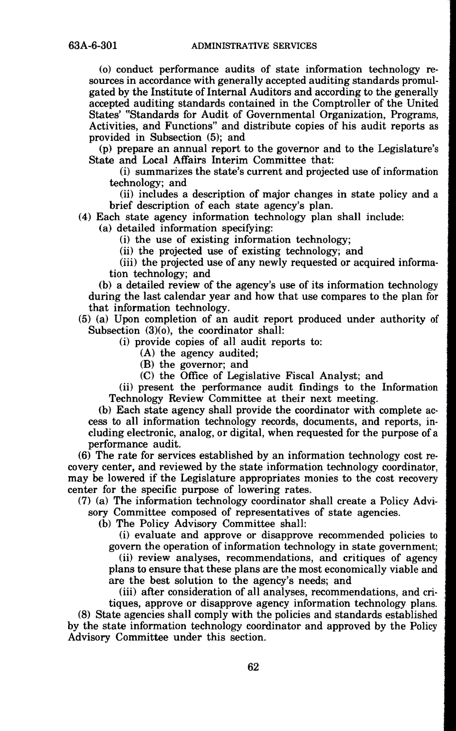(o) conduct performance audits of state information technology resources in accordance with generally accepted auditing standards promulgated by the Institute of Internal Auditors and according to the generally accepted auditing standards contained in the Comptroller of the United States' "Standards for Audit of Governmental Organization, Programs, Activities, and Functions" and distribute copies of his audit reports as provided in Subsection (5); and

(p) prepare an annual report to the governor and to the Legislature's State and Local Affairs Interim Committee that:

(i) summarizes the state's current and projected use of information technology; and

(ii) includes a description of major changes in state policy and a brief description of each state agency's plan.

(4) Each state agency information technology plan shall include:

(a) detailed information specifying:

(i) the use of existing information technology;

(ii) the projected use of existing technology; and

(iii) the projected use of any newly requested or acquired information technology; and

(b) a detailed review of the agency's use of its information technology during the last calendar year and how that use compares to the plan for that information technology.

(5) (a) Upon completion of an audit report produced under authority of Subsection (3)(o), the coordinator shall:

(i) provide copies of all audit reports to:

(A) the agency audited;

(B) the governor; and

(C) the Office of Legislative Fiscal Analyst; and

(ii) present the performance audit findings to the Information Technology Review Committee at their next meeting.

(b) Each state agency shall provide the coordinator with complete access to all information technology records, documents, and reports, including electronic, analog, or digital, when requested for the purpose of a performance audit.

(6) The rate for services established by an information technology cost recovery center, and reviewed by the state information technology coordinator, may be lowered if the Legislature appropriates monies to the cost recovery center for the specific purpose of lowering rates.

(7) (a) The information technology coordinator shall create a Policy Advi-

sory Committee composed of representatives of state agencies.

(b) The Policy Advisory Committee shall:

(i) evaluate and approve or disapprove recommended policies to govern the operation of information technology in state government; (ii) review analyses, recommendations, and critiques of agency plans to ensure that these plans are the most economically viable and are the best solution to the agency's needs; and

(iii) after consideration of all analyses, recommendations, and cri-

tiques, approve or disapprove agency information technology plans. (8) State agencies shall comply with the policies and standards established by the state information technology coordinator and approved by the Policy Advisory Committee under this section.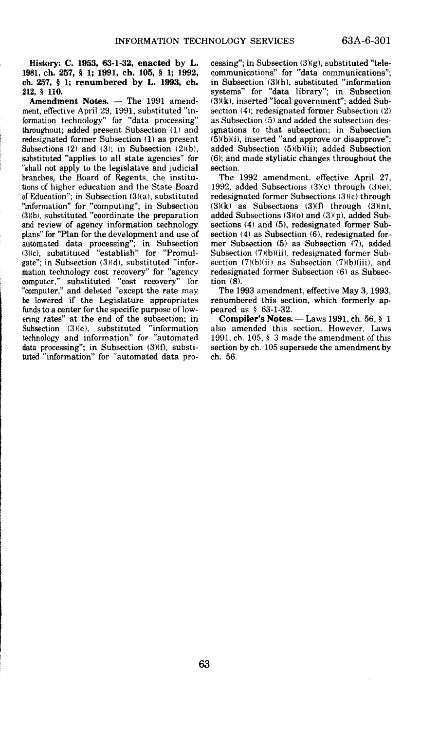**History:** C. 1953, **63-1-32,** enacted **by L 1981, ch.** 257, § **l; 1991, ch,** 105, § **l; 1992, eh. 2G7,** § 1; **renumbered** by L. **1993, ch. 212,** § **110.** 

Amendment Notes. - The 1991 amendment, effective April 29, 1991, substituted "information technology" for "data processing" throughout; added present Subsection (1) and redesignated former Subsection (1) as present Subsections (2) and (3); in Subsection  $(2)(b)$ , substituted "applies to all state agencies" for "shall not apply to the legislative and judicial **branches,** the Board of Regents, the institutions of. higher education and the State **Board**  of Education"; in Subsection (3)(a), substituted "information" for "computing"; in Subsection (3)(b), substituted "coordinate the preparation and review of agency information technology plans" for "Plan for the development **and** use of automated data processing''; in Subsection (3)(c), substituted "establish" for "Promulgate"; in Subsection (3)(d), substituted "information technology cost recovery" for "agency computer," substituted "cost recoverY" for "computer," and deleted "except the rate may be lowered if the Legislature appropriates funds to a center for the specific purpose of low• ering rates" at the end of the subsection; in Subsection (3)(e), substituted "information technology and information" for "automated data processing"; in Subsection (3)(f), substituted "information" for "automated data processing"; in Subsection  $(3)(g)$ , substituted "telecommunications" for "data communications"; in Subsection (3}(h), substituted "information systems" for "data library"; in Subsection (3)(k), inserted "local government"; added Subsection (4}; redesignated former Subsection (2) as Subsection (5) and added the subsection designations to that subsection; in Subsection  $(5)(b)(i)$ , inserted "and approve or disapprove"; added Subsection (5)(b)(ii); added Subsection (6); and made stylistic changes throughout the section.

The 1992 amendment, effective April 27, 1992, **added** Subsections (3)(c) through (3)(e), redesignated former Subsections (3)(c) through  $(3)(k)$  as Subsections  $(3)(f)$  through  $(3)(n)$ , added Subsections  $(3)(o)$  and  $(3)(p)$ , added Subsections (4) and (5), redesignated former Sub-<br>section (4) as Subsection (6), redesignated former Subsection (5) as Subsection (7), added Subsection (7)(b)(ii), redesignated former Subsection  $(7)(b)(ii)$  as Subsection  $(7)(b)(iii)$ , and redesignated former Subsection (6) as Subsection  $(\overline{8})$ .

The 1993 amendment, effective May 3, 1993, renumbered this section, which formerly appeared as § 63-1-32.

**Compiler's Notes.** - Laws 1991, ch. 56, § **1**  also amended this section. However, Laws 1991, eh. 105, § 3 made the amendment of this section by ch. 105 supersede the amendment by eh. 56.